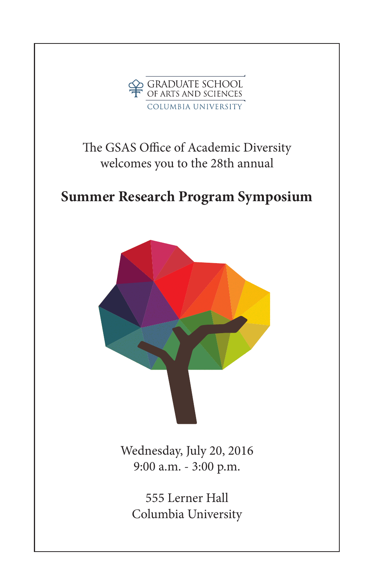

# The GSAS Office of Academic Diversity welcomes you to the 28th annual

# **Summer Research Program Symposium**



Wednesday, July 20, 2016 9:00 a.m. - 3:00 p.m.

555 Lerner Hall Columbia University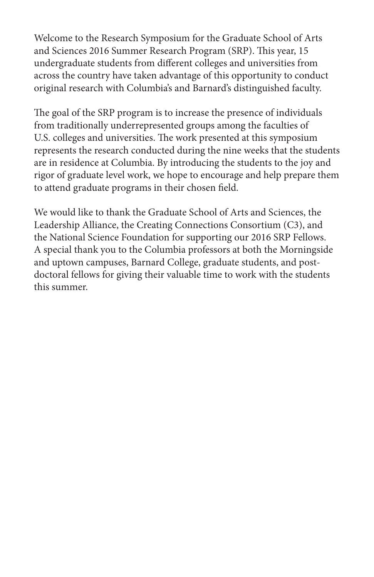Welcome to the Research Symposium for the Graduate School of Arts and Sciences 2016 Summer Research Program (SRP). This year, 15 undergraduate students from different colleges and universities from across the country have taken advantage of this opportunity to conduct original research with Columbia's and Barnard's distinguished faculty.

The goal of the SRP program is to increase the presence of individuals from traditionally underrepresented groups among the faculties of U.S. colleges and universities. The work presented at this symposium represents the research conducted during the nine weeks that the students are in residence at Columbia. By introducing the students to the joy and rigor of graduate level work, we hope to encourage and help prepare them to attend graduate programs in their chosen field.

We would like to thank the Graduate School of Arts and Sciences, the Leadership Alliance, the Creating Connections Consortium (C3), and the National Science Foundation for supporting our 2016 SRP Fellows. A special thank you to the Columbia professors at both the Morningside and uptown campuses, Barnard College, graduate students, and postdoctoral fellows for giving their valuable time to work with the students this summer.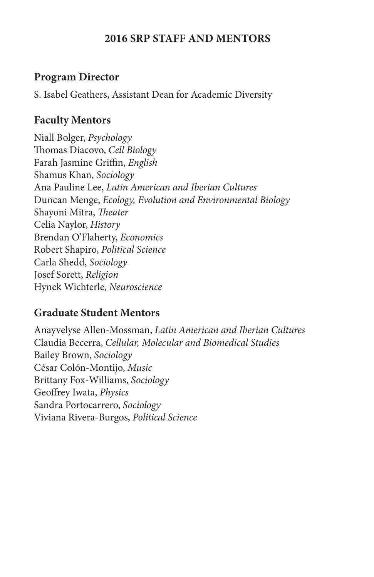#### **2016 SRP STAFF AND MENTORS**

#### **Program Director**

S. Isabel Geathers, Assistant Dean for Academic Diversity

### **Faculty Mentors**

Niall Bolger, *Psychology* Thomas Diacovo, *Cell Biology* Farah Jasmine Griffin, *English* Shamus Khan, *Sociology* Ana Pauline Lee, *Latin American and Iberian Cultures* Duncan Menge, *Ecology, Evolution and Environmental Biology* Shayoni Mitra, *Theater* Celia Naylor, *History* Brendan O'Flaherty, *Economics* Robert Shapiro, *Political Science* Carla Shedd, *Sociology* Josef Sorett, *Religion* Hynek Wichterle, *Neuroscience*

## **Graduate Student Mentors**

Anayvelyse Allen-Mossman, *Latin American and Iberian Cultures* Claudia Becerra, *Cellular, Molecular and Biomedical Studies* Bailey Brown, *Sociology*  César Colón-Montijo, *Music*  Brittany Fox-Williams, *Sociology* Geoffrey Iwata, *Physics* Sandra Portocarrero, *Sociology* Viviana Rivera-Burgos, *Political Science*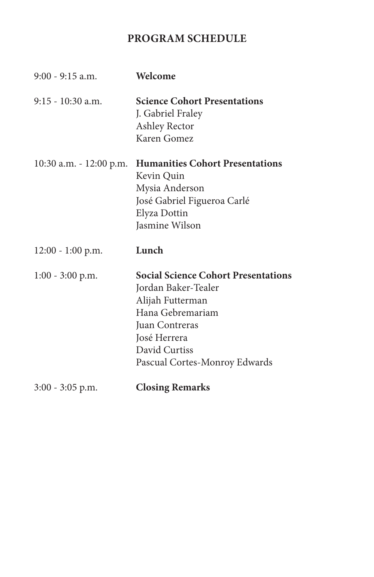# **PROGRAM SCHEDULE**

| $9:00 - 9:15$ a.m.         | Welcome                                                                                                                                                                                       |
|----------------------------|-----------------------------------------------------------------------------------------------------------------------------------------------------------------------------------------------|
| $9:15 - 10:30$ a.m.        | <b>Science Cohort Presentations</b><br>J. Gabriel Fraley<br>Ashley Rector<br>Karen Gomez                                                                                                      |
| $10:30$ a.m. $-12:00$ p.m. | <b>Humanities Cohort Presentations</b><br>Kevin Quin<br>Mysia Anderson<br>José Gabriel Figueroa Carlé<br>Elyza Dottin<br>Jasmine Wilson                                                       |
| $12:00 - 1:00$ p.m.        | Lunch                                                                                                                                                                                         |
| $1:00 - 3:00$ p.m.         | <b>Social Science Cohort Presentations</b><br>Jordan Baker-Tealer<br>Alijah Futterman<br>Hana Gebremariam<br>Juan Contreras<br>José Herrera<br>David Curtiss<br>Pascual Cortes-Monroy Edwards |
| $3:00 - 3:05$ p.m.         | <b>Closing Remarks</b>                                                                                                                                                                        |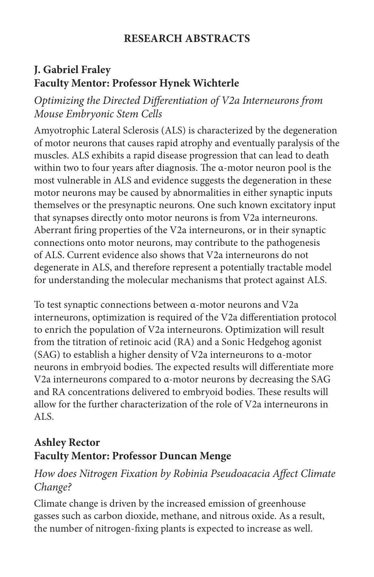## **RESEARCH ABSTRACTS**

# **J. Gabriel Fraley Faculty Mentor: Professor Hynek Wichterle**

*Optimizing the Directed Differentiation of V2a Interneurons from Mouse Embryonic Stem Cells*

Amyotrophic Lateral Sclerosis (ALS) is characterized by the degeneration of motor neurons that causes rapid atrophy and eventually paralysis of the muscles. ALS exhibits a rapid disease progression that can lead to death within two to four years after diagnosis. The α-motor neuron pool is the most vulnerable in ALS and evidence suggests the degeneration in these motor neurons may be caused by abnormalities in either synaptic inputs themselves or the presynaptic neurons. One such known excitatory input that synapses directly onto motor neurons is from V2a interneurons. Aberrant firing properties of the V2a interneurons, or in their synaptic connections onto motor neurons, may contribute to the pathogenesis of ALS. Current evidence also shows that V2a interneurons do not degenerate in ALS, and therefore represent a potentially tractable model for understanding the molecular mechanisms that protect against ALS.

To test synaptic connections between α-motor neurons and V2a interneurons, optimization is required of the V2a differentiation protocol to enrich the population of V2a interneurons. Optimization will result from the titration of retinoic acid (RA) and a Sonic Hedgehog agonist (SAG) to establish a higher density of V2a interneurons to α-motor neurons in embryoid bodies. The expected results will differentiate more V2a interneurons compared to α-motor neurons by decreasing the SAG and RA concentrations delivered to embryoid bodies. These results will allow for the further characterization of the role of V2a interneurons in ALS.

# **Ashley Rector Faculty Mentor: Professor Duncan Menge**

## *How does Nitrogen Fixation by Robinia Pseudoacacia Affect Climate Change?*

Climate change is driven by the increased emission of greenhouse gasses such as carbon dioxide, methane, and nitrous oxide. As a result, the number of nitrogen-fixing plants is expected to increase as well.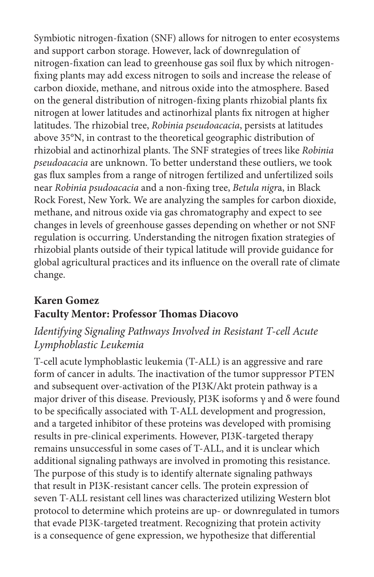Symbiotic nitrogen-fixation (SNF) allows for nitrogen to enter ecosystems and support carbon storage. However, lack of downregulation of nitrogen-fixation can lead to greenhouse gas soil flux by which nitrogenfixing plants may add excess nitrogen to soils and increase the release of carbon dioxide, methane, and nitrous oxide into the atmosphere. Based on the general distribution of nitrogen-fixing plants rhizobial plants fix nitrogen at lower latitudes and actinorhizal plants fix nitrogen at higher latitudes. The rhizobial tree, *Robinia pseudoacacia*, persists at latitudes above 35°N, in contrast to the theoretical geographic distribution of rhizobial and actinorhizal plants. The SNF strategies of trees like *Robinia pseudoacacia* are unknown. To better understand these outliers, we took gas flux samples from a range of nitrogen fertilized and unfertilized soils near *Robinia psudoacacia* and a non-fixing tree, *Betula nigr*a, in Black Rock Forest, New York. We are analyzing the samples for carbon dioxide, methane, and nitrous oxide via gas chromatography and expect to see changes in levels of greenhouse gasses depending on whether or not SNF regulation is occurring. Understanding the nitrogen fixation strategies of rhizobial plants outside of their typical latitude will provide guidance for global agricultural practices and its influence on the overall rate of climate change.

#### **Karen Gomez Faculty Mentor: Professor Thomas Diacovo**

## *Identifying Signaling Pathways Involved in Resistant T-cell Acute Lymphoblastic Leukemia*

T-cell acute lymphoblastic leukemia (T-ALL) is an aggressive and rare form of cancer in adults. The inactivation of the tumor suppressor PTEN and subsequent over-activation of the PI3K/Akt protein pathway is a major driver of this disease. Previously, PI3K isoforms  $\gamma$  and  $\delta$  were found to be specifically associated with T-ALL development and progression, and a targeted inhibitor of these proteins was developed with promising results in pre-clinical experiments. However, PI3K-targeted therapy remains unsuccessful in some cases of T-ALL, and it is unclear which additional signaling pathways are involved in promoting this resistance. The purpose of this study is to identify alternate signaling pathways that result in PI3K-resistant cancer cells. The protein expression of seven T-ALL resistant cell lines was characterized utilizing Western blot protocol to determine which proteins are up- or downregulated in tumors that evade PI3K-targeted treatment. Recognizing that protein activity is a consequence of gene expression, we hypothesize that differential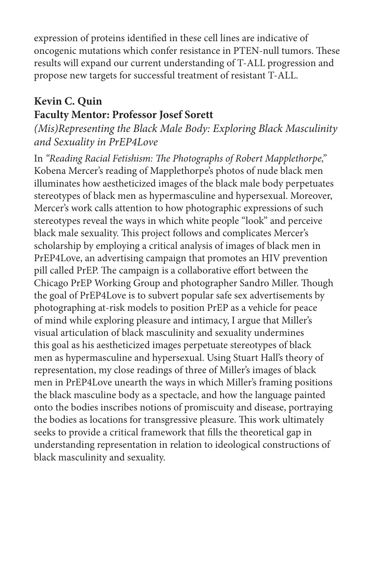expression of proteins identified in these cell lines are indicative of oncogenic mutations which confer resistance in PTEN-null tumors. These results will expand our current understanding of T-ALL progression and propose new targets for successful treatment of resistant T-ALL.

## **Kevin C. Quin Faculty Mentor: Professor Josef Sorett**

*(Mis)Representing the Black Male Body: Exploring Black Masculinity and Sexuality in PrEP4Love*

In *"Reading Racial Fetishism: The Photographs of Robert Mapplethorpe,"* Kobena Mercer's reading of Mapplethorpe's photos of nude black men illuminates how aestheticized images of the black male body perpetuates stereotypes of black men as hypermasculine and hypersexual. Moreover, Mercer's work calls attention to how photographic expressions of such stereotypes reveal the ways in which white people "look" and perceive black male sexuality. This project follows and complicates Mercer's scholarship by employing a critical analysis of images of black men in PrEP4Love, an advertising campaign that promotes an HIV prevention pill called PrEP. The campaign is a collaborative effort between the Chicago PrEP Working Group and photographer Sandro Miller. Though the goal of PrEP4Love is to subvert popular safe sex advertisements by photographing at-risk models to position PrEP as a vehicle for peace of mind while exploring pleasure and intimacy, I argue that Miller's visual articulation of black masculinity and sexuality undermines this goal as his aestheticized images perpetuate stereotypes of black men as hypermasculine and hypersexual. Using Stuart Hall's theory of representation, my close readings of three of Miller's images of black men in PrEP4Love unearth the ways in which Miller's framing positions the black masculine body as a spectacle, and how the language painted onto the bodies inscribes notions of promiscuity and disease, portraying the bodies as locations for transgressive pleasure. This work ultimately seeks to provide a critical framework that fills the theoretical gap in understanding representation in relation to ideological constructions of black masculinity and sexuality.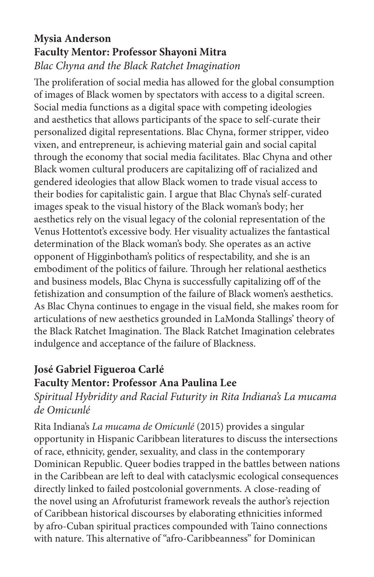#### **Mysia Anderson Faculty Mentor: Professor Shayoni Mitra** *Blac Chyna and the Black Ratchet Imagination*

The proliferation of social media has allowed for the global consumption of images of Black women by spectators with access to a digital screen. Social media functions as a digital space with competing ideologies and aesthetics that allows participants of the space to self-curate their personalized digital representations. Blac Chyna, former stripper, video vixen, and entrepreneur, is achieving material gain and social capital through the economy that social media facilitates. Blac Chyna and other Black women cultural producers are capitalizing off of racialized and gendered ideologies that allow Black women to trade visual access to their bodies for capitalistic gain. I argue that Blac Chyna's self-curated images speak to the visual history of the Black woman's body; her aesthetics rely on the visual legacy of the colonial representation of the Venus Hottentot's excessive body. Her visuality actualizes the fantastical determination of the Black woman's body. She operates as an active opponent of Higginbotham's politics of respectability, and she is an embodiment of the politics of failure. Through her relational aesthetics and business models, Blac Chyna is successfully capitalizing off of the fetishization and consumption of the failure of Black women's aesthetics. As Blac Chyna continues to engage in the visual field, she makes room for articulations of new aesthetics grounded in LaMonda Stallings' theory of the Black Ratchet Imagination. The Black Ratchet Imagination celebrates indulgence and acceptance of the failure of Blackness.

# **José Gabriel Figueroa Carlé**

## **Faculty Mentor: Professor Ana Paulina Lee**

## *Spiritual Hybridity and Racial Futurity in Rita Indiana's La mucama de Omicunlé*

Rita Indiana's *La mucama de Omicunlé* (2015) provides a singular opportunity in Hispanic Caribbean literatures to discuss the intersections of race, ethnicity, gender, sexuality, and class in the contemporary Dominican Republic. Queer bodies trapped in the battles between nations in the Caribbean are left to deal with cataclysmic ecological consequences directly linked to failed postcolonial governments. A close-reading of the novel using an Afrofuturist framework reveals the author's rejection of Caribbean historical discourses by elaborating ethnicities informed by afro-Cuban spiritual practices compounded with Taino connections with nature. This alternative of "afro-Caribbeanness" for Dominican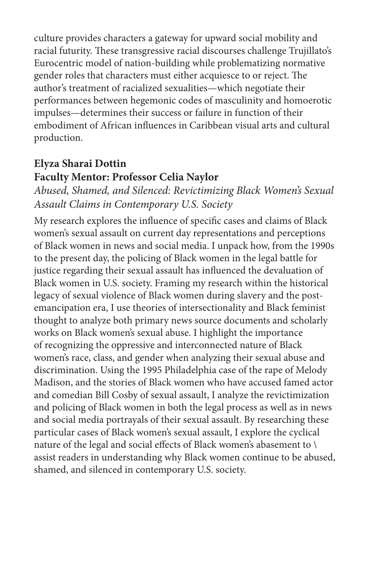culture provides characters a gateway for upward social mobility and racial futurity. These transgressive racial discourses challenge Trujillato's Eurocentric model of nation-building while problematizing normative gender roles that characters must either acquiesce to or reject. The author's treatment of racialized sexualities—which negotiate their performances between hegemonic codes of masculinity and homoerotic impulses—determines their success or failure in function of their embodiment of African influences in Caribbean visual arts and cultural production.

### **Elyza Sharai Dottin Faculty Mentor: Professor Celia Naylor**

*Abused, Shamed, and Silenced: Revictimizing Black Women's Sexual Assault Claims in Contemporary U.S. Society*

My research explores the influence of specific cases and claims of Black women's sexual assault on current day representations and perceptions of Black women in news and social media. I unpack how, from the 1990s to the present day, the policing of Black women in the legal battle for justice regarding their sexual assault has influenced the devaluation of Black women in U.S. society. Framing my research within the historical legacy of sexual violence of Black women during slavery and the postemancipation era, I use theories of intersectionality and Black feminist thought to analyze both primary news source documents and scholarly works on Black women's sexual abuse. I highlight the importance of recognizing the oppressive and interconnected nature of Black women's race, class, and gender when analyzing their sexual abuse and discrimination. Using the 1995 Philadelphia case of the rape of Melody Madison, and the stories of Black women who have accused famed actor and comedian Bill Cosby of sexual assault, I analyze the revictimization and policing of Black women in both the legal process as well as in news and social media portrayals of their sexual assault. By researching these particular cases of Black women's sexual assault, I explore the cyclical nature of the legal and social effects of Black women's abasement to \ assist readers in understanding why Black women continue to be abused, shamed, and silenced in contemporary U.S. society.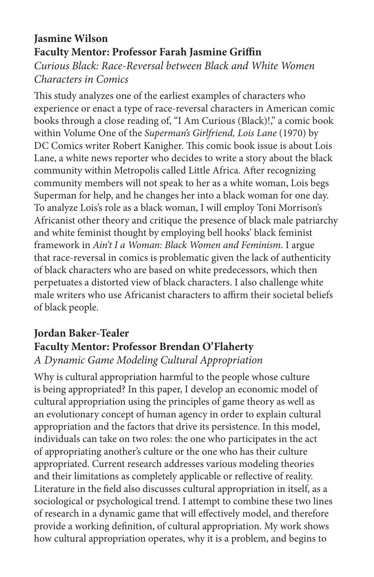#### **Jasmine Wilson Faculty Mentor: Professor Farah Jasmine Griffin** *Curious Black: Race-Reversal between Black and White Women Characters in Comics*

This study analyzes one of the earliest examples of characters who experience or enact a type of race-reversal characters in American comic books through a close reading of, "I Am Curious (Black)!," a comic book within Volume One of the *Superman's Girlfriend, Lois Lane* (1970) by DC Comics writer Robert Kanigher. This comic book issue is about Lois Lane, a white news reporter who decides to write a story about the black community within Metropolis called Little Africa. After recognizing community members will not speak to her as a white woman, Lois begs Superman for help, and he changes her into a black woman for one day. To analyze Lois's role as a black woman, I will employ Toni Morrison's Africanist other theory and critique the presence of black male patriarchy and white feminist thought by employing bell hooks' black feminist framework in *Ain't I a Woman: Black Women and Feminism*. I argue that race-reversal in comics is problematic given the lack of authenticity of black characters who are based on white predecessors, which then perpetuates a distorted view of black characters. I also challenge white male writers who use Africanist characters to affirm their societal beliefs of black people.

# **Jordan Baker-Tealer Faculty Mentor: Professor Brendan O'Flaherty** *A Dynamic Game Modeling Cultural Appropriation*

Why is cultural appropriation harmful to the people whose culture is being appropriated? In this paper, I develop an economic model of cultural appropriation using the principles of game theory as well as an evolutionary concept of human agency in order to explain cultural appropriation and the factors that drive its persistence. In this model, individuals can take on two roles: the one who participates in the act of appropriating another's culture or the one who has their culture appropriated. Current research addresses various modeling theories and their limitations as completely applicable or reflective of reality. Literature in the field also discusses cultural appropriation in itself, as a sociological or psychological trend. I attempt to combine these two lines of research in a dynamic game that will effectively model, and therefore provide a working definition, of cultural appropriation. My work shows how cultural appropriation operates, why it is a problem, and begins to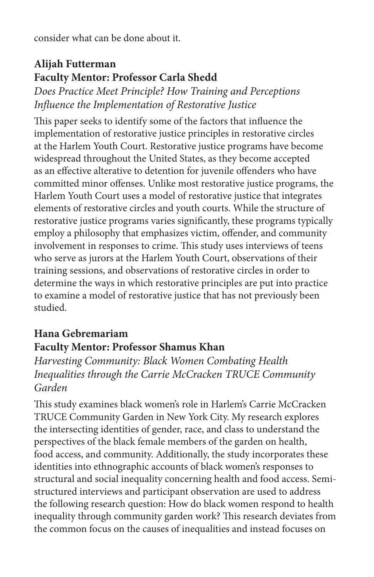consider what can be done about it.

# **Alijah Futterman Faculty Mentor: Professor Carla Shedd**

*Does Practice Meet Principle? How Training and Perceptions Influence the Implementation of Restorative Justice*

This paper seeks to identify some of the factors that influence the implementation of restorative justice principles in restorative circles at the Harlem Youth Court. Restorative justice programs have become widespread throughout the United States, as they become accepted as an effective alterative to detention for juvenile offenders who have committed minor offenses. Unlike most restorative justice programs, the Harlem Youth Court uses a model of restorative justice that integrates elements of restorative circles and youth courts. While the structure of restorative justice programs varies significantly, these programs typically employ a philosophy that emphasizes victim, offender, and community involvement in responses to crime. This study uses interviews of teens who serve as jurors at the Harlem Youth Court, observations of their training sessions, and observations of restorative circles in order to determine the ways in which restorative principles are put into practice to examine a model of restorative justice that has not previously been studied.

## **Hana Gebremariam Faculty Mentor: Professor Shamus Khan**

*Harvesting Community: Black Women Combating Health Inequalities through the Carrie McCracken TRUCE Community Garden*

This study examines black women's role in Harlem's Carrie McCracken TRUCE Community Garden in New York City. My research explores the intersecting identities of gender, race, and class to understand the perspectives of the black female members of the garden on health, food access, and community. Additionally, the study incorporates these identities into ethnographic accounts of black women's responses to structural and social inequality concerning health and food access. Semistructured interviews and participant observation are used to address the following research question: How do black women respond to health inequality through community garden work? This research deviates from the common focus on the causes of inequalities and instead focuses on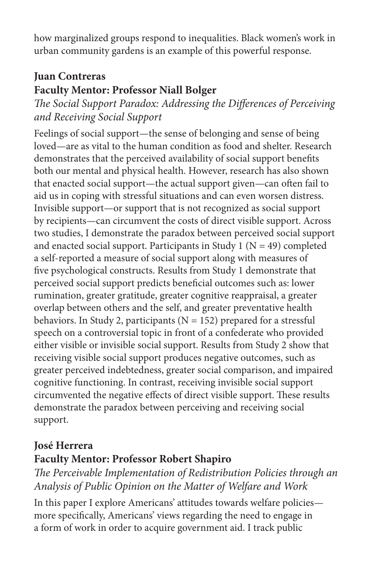how marginalized groups respond to inequalities. Black women's work in urban community gardens is an example of this powerful response.

# **Juan Contreras Faculty Mentor: Professor Niall Bolger**

*The Social Support Paradox: Addressing the Differences of Perceiving and Receiving Social Support*

Feelings of social support—the sense of belonging and sense of being loved—are as vital to the human condition as food and shelter. Research demonstrates that the perceived availability of social support benefits both our mental and physical health. However, research has also shown that enacted social support—the actual support given—can often fail to aid us in coping with stressful situations and can even worsen distress. Invisible support—or support that is not recognized as social support by recipients—can circumvent the costs of direct visible support. Across two studies, I demonstrate the paradox between perceived social support and enacted social support. Participants in Study 1 ( $N = 49$ ) completed a self-reported a measure of social support along with measures of five psychological constructs. Results from Study 1 demonstrate that perceived social support predicts beneficial outcomes such as: lower rumination, greater gratitude, greater cognitive reappraisal, a greater overlap between others and the self, and greater preventative health behaviors. In Study 2, participants ( $N = 152$ ) prepared for a stressful speech on a controversial topic in front of a confederate who provided either visible or invisible social support. Results from Study 2 show that receiving visible social support produces negative outcomes, such as greater perceived indebtedness, greater social comparison, and impaired cognitive functioning. In contrast, receiving invisible social support circumvented the negative effects of direct visible support. These results demonstrate the paradox between perceiving and receiving social support.

# **José Herrera Faculty Mentor: Professor Robert Shapiro**

*The Perceivable Implementation of Redistribution Policies through an Analysis of Public Opinion on the Matter of Welfare and Work*

In this paper I explore Americans' attitudes towards welfare policies more specifically, Americans' views regarding the need to engage in a form of work in order to acquire government aid. I track public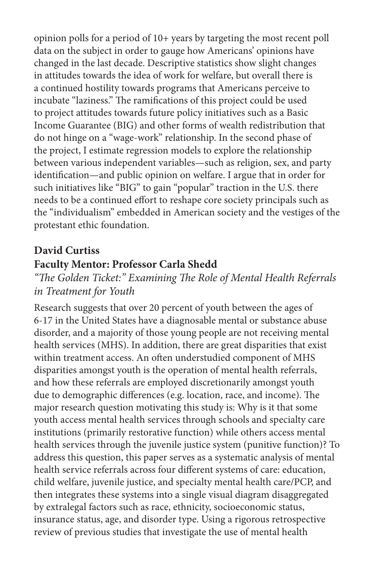opinion polls for a period of 10+ years by targeting the most recent poll data on the subject in order to gauge how Americans' opinions have changed in the last decade. Descriptive statistics show slight changes in attitudes towards the idea of work for welfare, but overall there is a continued hostility towards programs that Americans perceive to incubate "laziness." The ramifications of this project could be used to project attitudes towards future policy initiatives such as a Basic Income Guarantee (BIG) and other forms of wealth redistribution that do not hinge on a "wage-work" relationship. In the second phase of the project, I estimate regression models to explore the relationship between various independent variables—such as religion, sex, and party identification—and public opinion on welfare. I argue that in order for such initiatives like "BIG" to gain "popular" traction in the U.S. there needs to be a continued effort to reshape core society principals such as the "individualism" embedded in American society and the vestiges of the protestant ethic foundation.

#### **David Curtiss**

#### **Faculty Mentor: Professor Carla Shedd**

## *"The Golden Ticket:" Examining The Role of Mental Health Referrals in Treatment for Youth*

Research suggests that over 20 percent of youth between the ages of 6-17 in the United States have a diagnosable mental or substance abuse disorder, and a majority of those young people are not receiving mental health services (MHS). In addition, there are great disparities that exist within treatment access. An often understudied component of MHS disparities amongst youth is the operation of mental health referrals, and how these referrals are employed discretionarily amongst youth due to demographic differences (e.g. location, race, and income). The major research question motivating this study is: Why is it that some youth access mental health services through schools and specialty care institutions (primarily restorative function) while others access mental health services through the juvenile justice system (punitive function)? To address this question, this paper serves as a systematic analysis of mental health service referrals across four different systems of care: education, child welfare, juvenile justice, and specialty mental health care/PCP, and then integrates these systems into a single visual diagram disaggregated by extralegal factors such as race, ethnicity, socioeconomic status, insurance status, age, and disorder type. Using a rigorous retrospective review of previous studies that investigate the use of mental health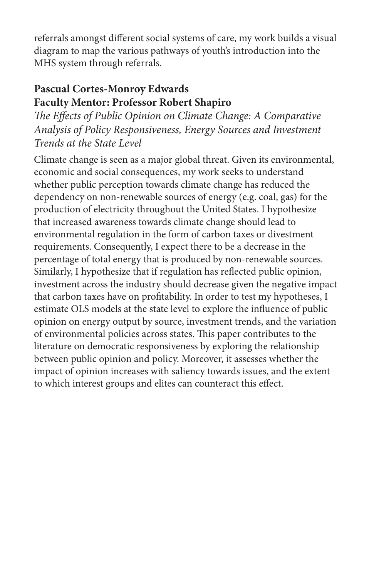referrals amongst different social systems of care, my work builds a visual diagram to map the various pathways of youth's introduction into the MHS system through referrals.

#### **Pascual Cortes-Monroy Edwards Faculty Mentor: Professor Robert Shapiro**

*The Effects of Public Opinion on Climate Change: A Comparative Analysis of Policy Responsiveness, Energy Sources and Investment Trends at the State Level*

Climate change is seen as a major global threat. Given its environmental, economic and social consequences, my work seeks to understand whether public perception towards climate change has reduced the dependency on non-renewable sources of energy (e.g. coal, gas) for the production of electricity throughout the United States. I hypothesize that increased awareness towards climate change should lead to environmental regulation in the form of carbon taxes or divestment requirements. Consequently, I expect there to be a decrease in the percentage of total energy that is produced by non-renewable sources. Similarly, I hypothesize that if regulation has reflected public opinion, investment across the industry should decrease given the negative impact that carbon taxes have on profitability. In order to test my hypotheses, I estimate OLS models at the state level to explore the influence of public opinion on energy output by source, investment trends, and the variation of environmental policies across states. This paper contributes to the literature on democratic responsiveness by exploring the relationship between public opinion and policy. Moreover, it assesses whether the impact of opinion increases with saliency towards issues, and the extent to which interest groups and elites can counteract this effect.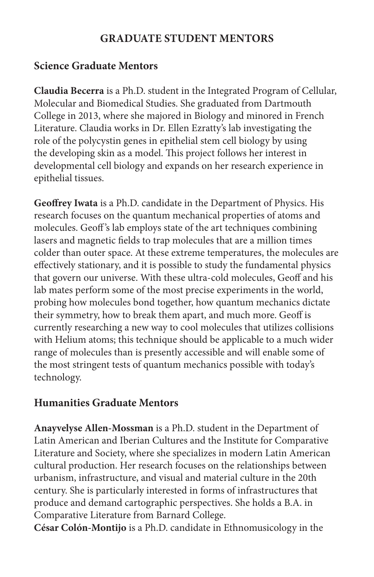#### **GRADUATE STUDENT MENTORS**

#### **Science Graduate Mentors**

**Claudia Becerra** is a Ph.D. student in the Integrated Program of Cellular, Molecular and Biomedical Studies. She graduated from Dartmouth College in 2013, where she majored in Biology and minored in French Literature. Claudia works in Dr. Ellen Ezratty's lab investigating the role of the polycystin genes in epithelial stem cell biology by using the developing skin as a model. This project follows her interest in developmental cell biology and expands on her research experience in epithelial tissues.

**Geoffrey Iwata** is a Ph.D. candidate in the Department of Physics. His research focuses on the quantum mechanical properties of atoms and molecules. Geoff 's lab employs state of the art techniques combining lasers and magnetic fields to trap molecules that are a million times colder than outer space. At these extreme temperatures, the molecules are effectively stationary, and it is possible to study the fundamental physics that govern our universe. With these ultra-cold molecules, Geoff and his lab mates perform some of the most precise experiments in the world, probing how molecules bond together, how quantum mechanics dictate their symmetry, how to break them apart, and much more. Geoff is currently researching a new way to cool molecules that utilizes collisions with Helium atoms; this technique should be applicable to a much wider range of molecules than is presently accessible and will enable some of the most stringent tests of quantum mechanics possible with today's technology.

#### **Humanities Graduate Mentors**

**Anayvelyse Allen-Mossman** is a Ph.D. student in the Department of Latin American and Iberian Cultures and the Institute for Comparative Literature and Society, where she specializes in modern Latin American cultural production. Her research focuses on the relationships between urbanism, infrastructure, and visual and material culture in the 20th century. She is particularly interested in forms of infrastructures that produce and demand cartographic perspectives. She holds a B.A. in Comparative Literature from Barnard College.

**César Colón-Montijo** is a Ph.D. candidate in Ethnomusicology in the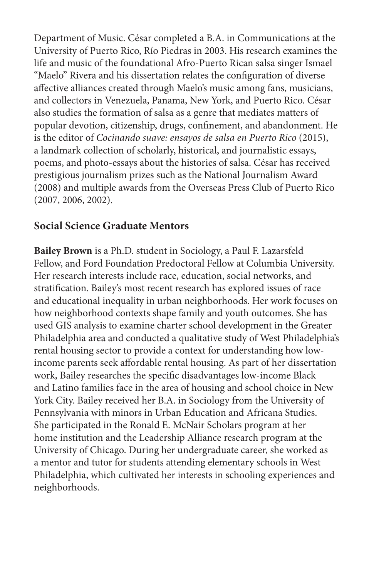Department of Music. César completed a B.A. in Communications at the University of Puerto Rico, Río Piedras in 2003. His research examines the life and music of the foundational Afro-Puerto Rican salsa singer Ismael "Maelo" Rivera and his dissertation relates the configuration of diverse affective alliances created through Maelo's music among fans, musicians, and collectors in Venezuela, Panama, New York, and Puerto Rico. César also studies the formation of salsa as a genre that mediates matters of popular devotion, citizenship, drugs, confinement, and abandonment. He is the editor of *Cocinando suave: ensayos de salsa en Puerto Rico* (2015), a landmark collection of scholarly, historical, and journalistic essays, poems, and photo-essays about the histories of salsa. César has received prestigious journalism prizes such as the National Journalism Award (2008) and multiple awards from the Overseas Press Club of Puerto Rico (2007, 2006, 2002).

#### **Social Science Graduate Mentors**

**Bailey Brown** is a Ph.D. student in Sociology, a Paul F. Lazarsfeld Fellow, and Ford Foundation Predoctoral Fellow at Columbia University. Her research interests include race, education, social networks, and stratification. Bailey's most recent research has explored issues of race and educational inequality in urban neighborhoods. Her work focuses on how neighborhood contexts shape family and youth outcomes. She has used GIS analysis to examine charter school development in the Greater Philadelphia area and conducted a qualitative study of West Philadelphia's rental housing sector to provide a context for understanding how lowincome parents seek affordable rental housing. As part of her dissertation work, Bailey researches the specific disadvantages low-income Black and Latino families face in the area of housing and school choice in New York City. Bailey received her B.A. in Sociology from the University of Pennsylvania with minors in Urban Education and Africana Studies. She participated in the Ronald E. McNair Scholars program at her home institution and the Leadership Alliance research program at the University of Chicago. During her undergraduate career, she worked as a mentor and tutor for students attending elementary schools in West Philadelphia, which cultivated her interests in schooling experiences and neighborhoods.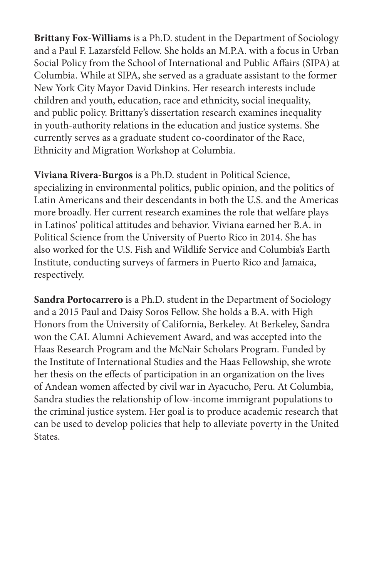**Brittany Fox-Williams** is a Ph.D. student in the Department of Sociology and a Paul F. Lazarsfeld Fellow. She holds an M.P.A. with a focus in Urban Social Policy from the School of International and Public Affairs (SIPA) at Columbia. While at SIPA, she served as a graduate assistant to the former New York City Mayor David Dinkins. Her research interests include children and youth, education, race and ethnicity, social inequality, and public policy. Brittany's dissertation research examines inequality in youth-authority relations in the education and justice systems. She currently serves as a graduate student co-coordinator of the Race, Ethnicity and Migration Workshop at Columbia.

**Viviana Rivera-Burgos** is a Ph.D. student in Political Science, specializing in environmental politics, public opinion, and the politics of Latin Americans and their descendants in both the U.S. and the Americas more broadly. Her current research examines the role that welfare plays in Latinos' political attitudes and behavior. Viviana earned her B.A. in Political Science from the University of Puerto Rico in 2014. She has also worked for the U.S. Fish and Wildlife Service and Columbia's Earth Institute, conducting surveys of farmers in Puerto Rico and Jamaica, respectively.

**Sandra Portocarrero** is a Ph.D. student in the Department of Sociology and a 2015 Paul and Daisy Soros Fellow. She holds a B.A. with High Honors from the University of California, Berkeley. At Berkeley, Sandra won the CAL Alumni Achievement Award, and was accepted into the Haas Research Program and the McNair Scholars Program. Funded by the Institute of International Studies and the Haas Fellowship, she wrote her thesis on the effects of participation in an organization on the lives of Andean women affected by civil war in Ayacucho, Peru. At Columbia, Sandra studies the relationship of low-income immigrant populations to the criminal justice system. Her goal is to produce academic research that can be used to develop policies that help to alleviate poverty in the United States.